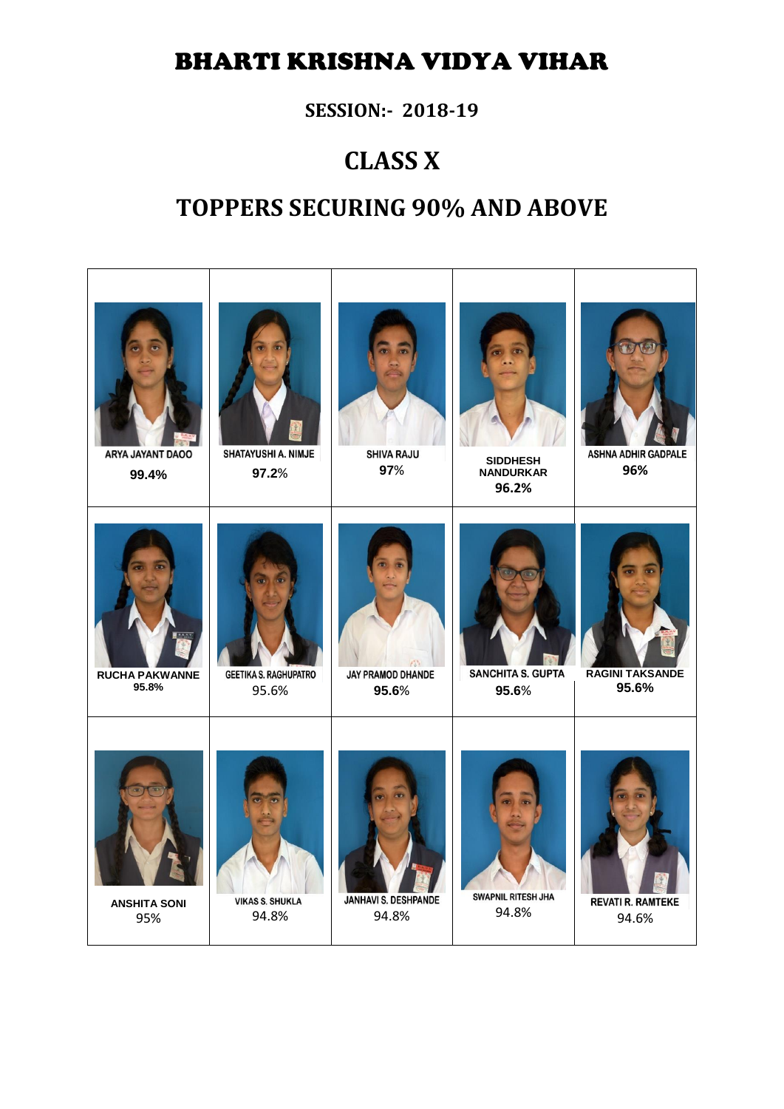### BHARTI KRISHNA VIDYA VIHAR

**SESSION:- 2018-19**

## **CLASS X**

## **TOPPERS SECURING 90% AND ABOVE**

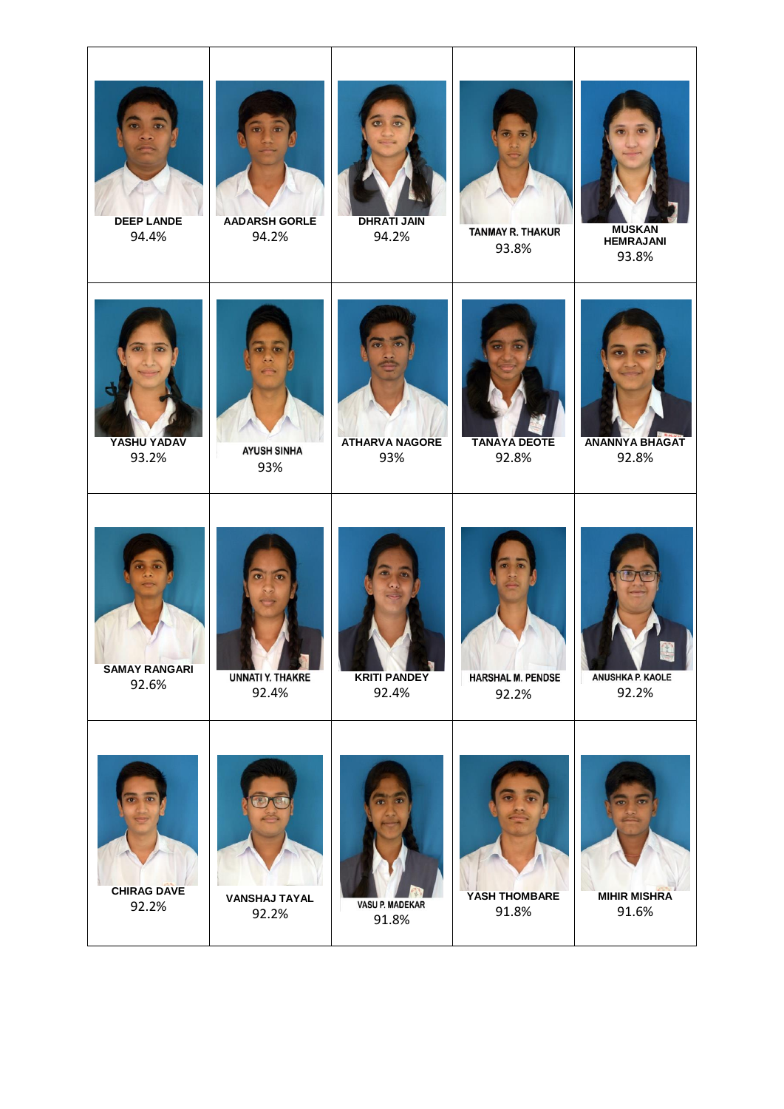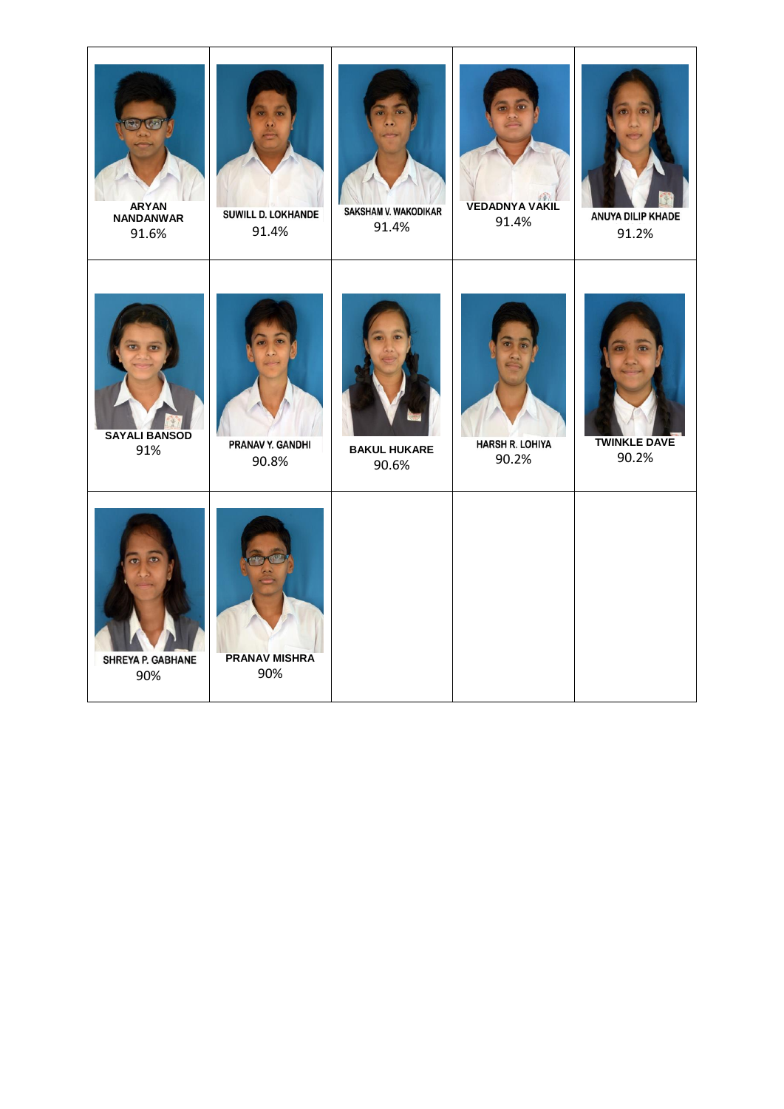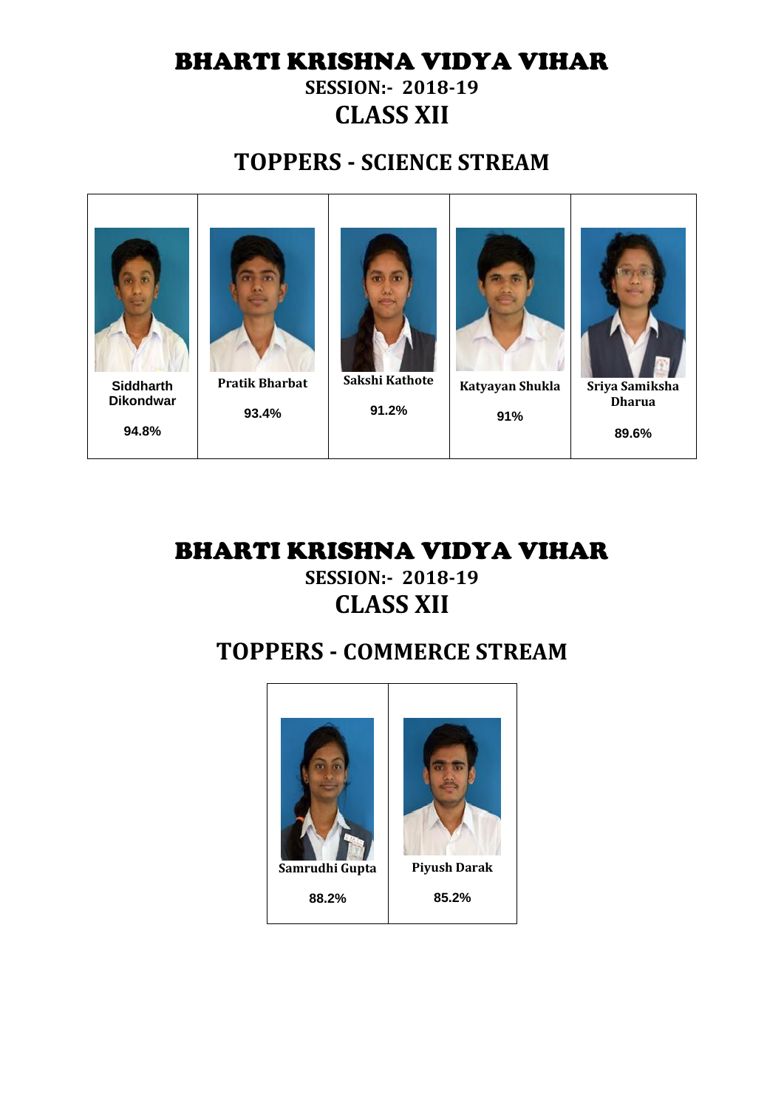## BHARTI KRISHNA VIDYA VIHAR

#### **SESSION:- 2018-19 CLASS XII**

### **TOPPERS - SCIENCE STREAM**



#### BHARTI KRISHNA VIDYA VIHAR **SESSION:- 2018-19 CLASS XII**

### **TOPPERS - COMMERCE STREAM**



**88.2%**

**Piyush Darak**

**85.2%**